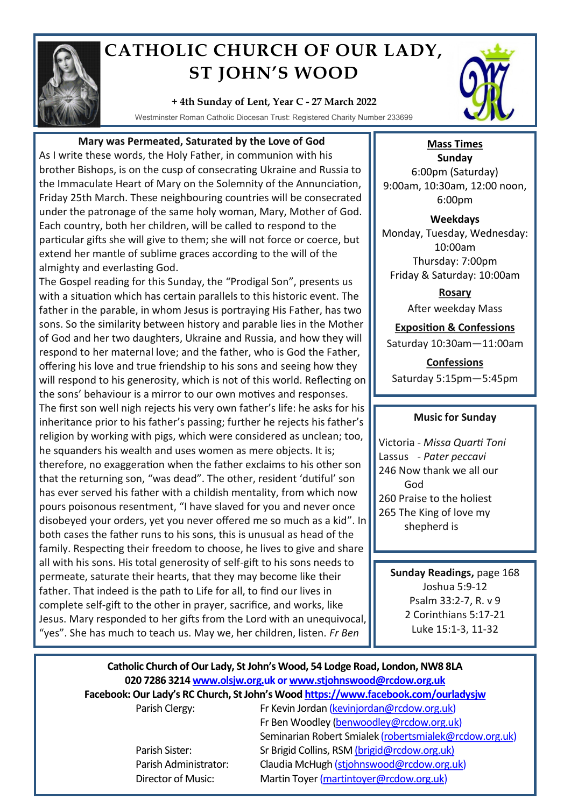

# **CATHOLIC CHURCH OF OUR LADY, ST JOHN'S WOOD**

### **+ 4th Sunday of Lent, Year C - 27 March 2022**

Westminster Roman Catholic Diocesan Trust: Registered Charity Number 233699



## **Mary was Permeated, Saturated by the Love of God**

As I write these words, the Holy Father, in communion with his brother Bishops, is on the cusp of consecrating Ukraine and Russia to the Immaculate Heart of Mary on the Solemnity of the Annunciation, Friday 25th March. These neighbouring countries will be consecrated under the patronage of the same holy woman, Mary, Mother of God. Each country, both her children, will be called to respond to the particular gifts she will give to them; she will not force or coerce, but extend her mantle of sublime graces according to the will of the almighty and everlasting God.

The Gospel reading for this Sunday, the "Prodigal Son", presents us with a situation which has certain parallels to this historic event. The father in the parable, in whom Jesus is portraying His Father, has two sons. So the similarity between history and parable lies in the Mother of God and her two daughters, Ukraine and Russia, and how they will respond to her maternal love; and the father, who is God the Father, offering his love and true friendship to his sons and seeing how they will respond to his generosity, which is not of this world. Reflecting on the sons' behaviour is a mirror to our own motives and responses. The first son well nigh rejects his very own father's life: he asks for his inheritance prior to his father's passing; further he rejects his father's religion by working with pigs, which were considered as unclean; too, he squanders his wealth and uses women as mere objects. It is; therefore, no exaggeration when the father exclaims to his other son that the returning son, "was dead". The other, resident 'dutiful' son has ever served his father with a childish mentality, from which now pours poisonous resentment, "I have slaved for you and never once disobeyed your orders, yet you never offered me so much as a kid". In both cases the father runs to his sons, this is unusual as head of the family. Respecting their freedom to choose, he lives to give and share all with his sons. His total generosity of self-gift to his sons needs to permeate, saturate their hearts, that they may become like their father. That indeed is the path to Life for all, to find our lives in complete self-gift to the other in prayer, sacrifice, and works, like Jesus. Mary responded to her gifts from the Lord with an unequivocal, "yes". She has much to teach us. May we, her children, listen. *Fr Ben*

**Mass Times Sunday** 6:00pm (Saturday) 9:00am, 10:30am, 12:00 noon, 6:00pm

**Weekdays** Monday, Tuesday, Wednesday: 10:00am Thursday: 7:00pm Friday & Saturday: 10:00am

> **Rosary** After weekday Mass

**Exposition & Confessions** Saturday 10:30am—11:00am

**Confessions**  Saturday 5:15pm—5:45pm

### **Music for Sunday**

Victoria - *Missa Quarti Toni* Lassus - *Pater peccavi* 246 Now thank we all our God 260 Praise to the holiest 265 The King of love my shepherd is

**Sunday Readings,** page 168 Joshua 5:9-12 Psalm 33:2-7, R. v 9 2 Corinthians 5:17-21 Luke 15:1-3, 11-32

# **Catholic Church of Our Lady, St John's Wood, 54 Lodge Road, London, NW8 8LA 020 7286 3214 www.olsjw.org.uk or www.stjohnswood@rcdow.org.uk Facebook: Our Lady's RC Church, St John's Wood https://www.facebook.com/ourladysjw**

Parish Clergy: Fr Kevin Jordan (kevinjordan@rcdow.org.uk) Fr Ben Woodley (benwoodley@rcdow.org.uk) Seminarian Robert Smialek (robertsmialek@rcdow.org.uk) Parish Sister: Sr Brigid Collins, RSM (brigid@rcdow.org.uk) Parish Administrator: Claudia McHugh (stjohnswood@rcdow.org.uk) Director of Music: Martin Toyer (martintoyer@rcdow.org.uk)